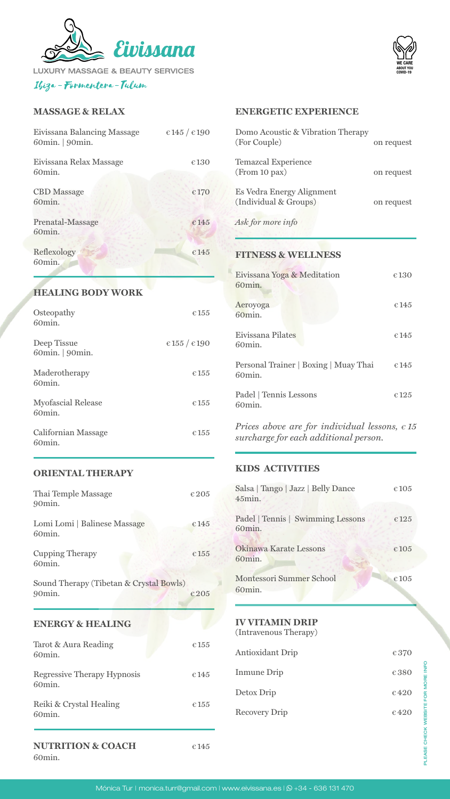

**LUXURY MASSAGE & BEAUTY SERVICES** Ibiza - Formentera - Tulum

> PLEASE CHECK WEBSITE FOR MORE INFO PLEASE CHECK WEBSITE FOR MORE INFO

### **MASSAGE & RELAX**

| Eivissana Relax Massage<br><b>Temazcal Experience</b><br>€ 130<br>(From 10 pax)<br>60 <sub>min.</sub><br>on request<br>Es Vedra Energy Alignment<br><b>CBD</b> Massage<br>€ 170<br>(Individual & Groups)<br>60min.<br>on request<br>Ask for more info<br>Prenatal-Massage<br>€145<br>60min.<br>Reflexology<br>€ 145<br><b>FITNESS &amp; WELLNESS</b><br>60min.<br>Eivissana Yoga & Meditation<br>€ 130<br>60min.<br><b>HEALING BODY WORK</b><br>Aeroyoga<br>$\epsilon$ 145<br>Osteopathy<br>€ 155<br>60min.<br>60min.<br>Eivissana Pilates<br>$\epsilon$ 145<br>$\epsilon$ 155 / $\epsilon$ 190<br>Deep Tissue<br>60 <sub>min.</sub><br>60min.   90min.<br>Personal Trainer   Boxing   Muay Thai<br>$\epsilon$ 145<br>Maderotherapy<br>$\epsilon$ 155<br>60 <sub>min</sub> .<br>60 <sub>min.</sub><br>Padel   Tennis Lessons<br>$\epsilon$ 125<br><b>Myofascial Release</b><br>$\epsilon$ 155<br>60 <sub>min.</sub><br>60 <sub>min.</sub><br>Prices above are for individual lessons, $\epsilon$ 15<br><b>Californian Massage</b><br>$\epsilon$ 155<br>surcharge for each additional person.<br>60 <sub>min.</sub><br>KIDS ACTIVITIES<br><b>ORIENTAL THERAPY</b><br>Salsa   Tango   Jazz   Belly Dance<br>€105<br>Thai Temple Massage<br>$\epsilon$ 205<br>$45$ min.<br>90min.<br>Padel   Tennis   Swimming Lessons<br>$\epsilon$ 125<br>Lomi Lomi   Balinese Massage<br>€ 145<br>60min.<br>60min.<br>Okinawa Karate Lessons<br>€105<br><b>Cupping Therapy</b><br>€ 155<br>60min.<br>60min.<br><b>Montessori Summer School</b><br>€105<br>Sound Therapy (Tibetan & Crystal Bowls)<br>60min.<br>90 <sub>min</sub> .<br>$\epsilon$ 205<br><b>IV VITAMIN DRIP</b><br><b>ENERGY &amp; HEALING</b><br>(Intravenous Therapy)<br>Tarot & Aura Reading<br>$\epsilon$ 155<br><b>Antioxidant Drip</b><br>$\epsilon$ 370<br>60 <sub>min.</sub><br><b>Inmune Drip</b><br>€380<br><b>Regressive Therapy Hypnosis</b><br>$\epsilon$ 145<br>60min.<br>Detox Drip<br>$\epsilon$ 420<br>Reiki & Crystal Healing<br>$\epsilon$ 155<br><b>Recovery Drip</b><br>$\epsilon$ 420<br>60 <sub>min.</sub> | Eivissana Balancing Massage<br>60min.   90min. | $\epsilon$ 145 / $\epsilon$ 190 | Domo Acoustic & Vibration Therapy<br>(For Couple)<br>on request |  |
|----------------------------------------------------------------------------------------------------------------------------------------------------------------------------------------------------------------------------------------------------------------------------------------------------------------------------------------------------------------------------------------------------------------------------------------------------------------------------------------------------------------------------------------------------------------------------------------------------------------------------------------------------------------------------------------------------------------------------------------------------------------------------------------------------------------------------------------------------------------------------------------------------------------------------------------------------------------------------------------------------------------------------------------------------------------------------------------------------------------------------------------------------------------------------------------------------------------------------------------------------------------------------------------------------------------------------------------------------------------------------------------------------------------------------------------------------------------------------------------------------------------------------------------------------------------------------------------------------------------------------------------------------------------------------------------------------------------------------------------------------------------------------------------------------------------------------------------------------------------------------------------------------------------------------------------------------------------------------------------------------------------------------------------------------------------------------------|------------------------------------------------|---------------------------------|-----------------------------------------------------------------|--|
|                                                                                                                                                                                                                                                                                                                                                                                                                                                                                                                                                                                                                                                                                                                                                                                                                                                                                                                                                                                                                                                                                                                                                                                                                                                                                                                                                                                                                                                                                                                                                                                                                                                                                                                                                                                                                                                                                                                                                                                                                                                                                  |                                                |                                 |                                                                 |  |
|                                                                                                                                                                                                                                                                                                                                                                                                                                                                                                                                                                                                                                                                                                                                                                                                                                                                                                                                                                                                                                                                                                                                                                                                                                                                                                                                                                                                                                                                                                                                                                                                                                                                                                                                                                                                                                                                                                                                                                                                                                                                                  |                                                |                                 |                                                                 |  |
|                                                                                                                                                                                                                                                                                                                                                                                                                                                                                                                                                                                                                                                                                                                                                                                                                                                                                                                                                                                                                                                                                                                                                                                                                                                                                                                                                                                                                                                                                                                                                                                                                                                                                                                                                                                                                                                                                                                                                                                                                                                                                  |                                                |                                 |                                                                 |  |
|                                                                                                                                                                                                                                                                                                                                                                                                                                                                                                                                                                                                                                                                                                                                                                                                                                                                                                                                                                                                                                                                                                                                                                                                                                                                                                                                                                                                                                                                                                                                                                                                                                                                                                                                                                                                                                                                                                                                                                                                                                                                                  |                                                |                                 |                                                                 |  |
|                                                                                                                                                                                                                                                                                                                                                                                                                                                                                                                                                                                                                                                                                                                                                                                                                                                                                                                                                                                                                                                                                                                                                                                                                                                                                                                                                                                                                                                                                                                                                                                                                                                                                                                                                                                                                                                                                                                                                                                                                                                                                  |                                                |                                 |                                                                 |  |
|                                                                                                                                                                                                                                                                                                                                                                                                                                                                                                                                                                                                                                                                                                                                                                                                                                                                                                                                                                                                                                                                                                                                                                                                                                                                                                                                                                                                                                                                                                                                                                                                                                                                                                                                                                                                                                                                                                                                                                                                                                                                                  |                                                |                                 |                                                                 |  |
|                                                                                                                                                                                                                                                                                                                                                                                                                                                                                                                                                                                                                                                                                                                                                                                                                                                                                                                                                                                                                                                                                                                                                                                                                                                                                                                                                                                                                                                                                                                                                                                                                                                                                                                                                                                                                                                                                                                                                                                                                                                                                  |                                                |                                 |                                                                 |  |
|                                                                                                                                                                                                                                                                                                                                                                                                                                                                                                                                                                                                                                                                                                                                                                                                                                                                                                                                                                                                                                                                                                                                                                                                                                                                                                                                                                                                                                                                                                                                                                                                                                                                                                                                                                                                                                                                                                                                                                                                                                                                                  |                                                |                                 |                                                                 |  |
|                                                                                                                                                                                                                                                                                                                                                                                                                                                                                                                                                                                                                                                                                                                                                                                                                                                                                                                                                                                                                                                                                                                                                                                                                                                                                                                                                                                                                                                                                                                                                                                                                                                                                                                                                                                                                                                                                                                                                                                                                                                                                  |                                                |                                 |                                                                 |  |
|                                                                                                                                                                                                                                                                                                                                                                                                                                                                                                                                                                                                                                                                                                                                                                                                                                                                                                                                                                                                                                                                                                                                                                                                                                                                                                                                                                                                                                                                                                                                                                                                                                                                                                                                                                                                                                                                                                                                                                                                                                                                                  |                                                |                                 |                                                                 |  |
|                                                                                                                                                                                                                                                                                                                                                                                                                                                                                                                                                                                                                                                                                                                                                                                                                                                                                                                                                                                                                                                                                                                                                                                                                                                                                                                                                                                                                                                                                                                                                                                                                                                                                                                                                                                                                                                                                                                                                                                                                                                                                  |                                                |                                 |                                                                 |  |
|                                                                                                                                                                                                                                                                                                                                                                                                                                                                                                                                                                                                                                                                                                                                                                                                                                                                                                                                                                                                                                                                                                                                                                                                                                                                                                                                                                                                                                                                                                                                                                                                                                                                                                                                                                                                                                                                                                                                                                                                                                                                                  |                                                |                                 |                                                                 |  |
|                                                                                                                                                                                                                                                                                                                                                                                                                                                                                                                                                                                                                                                                                                                                                                                                                                                                                                                                                                                                                                                                                                                                                                                                                                                                                                                                                                                                                                                                                                                                                                                                                                                                                                                                                                                                                                                                                                                                                                                                                                                                                  |                                                |                                 |                                                                 |  |
|                                                                                                                                                                                                                                                                                                                                                                                                                                                                                                                                                                                                                                                                                                                                                                                                                                                                                                                                                                                                                                                                                                                                                                                                                                                                                                                                                                                                                                                                                                                                                                                                                                                                                                                                                                                                                                                                                                                                                                                                                                                                                  |                                                |                                 |                                                                 |  |
|                                                                                                                                                                                                                                                                                                                                                                                                                                                                                                                                                                                                                                                                                                                                                                                                                                                                                                                                                                                                                                                                                                                                                                                                                                                                                                                                                                                                                                                                                                                                                                                                                                                                                                                                                                                                                                                                                                                                                                                                                                                                                  |                                                |                                 |                                                                 |  |
|                                                                                                                                                                                                                                                                                                                                                                                                                                                                                                                                                                                                                                                                                                                                                                                                                                                                                                                                                                                                                                                                                                                                                                                                                                                                                                                                                                                                                                                                                                                                                                                                                                                                                                                                                                                                                                                                                                                                                                                                                                                                                  |                                                |                                 |                                                                 |  |
|                                                                                                                                                                                                                                                                                                                                                                                                                                                                                                                                                                                                                                                                                                                                                                                                                                                                                                                                                                                                                                                                                                                                                                                                                                                                                                                                                                                                                                                                                                                                                                                                                                                                                                                                                                                                                                                                                                                                                                                                                                                                                  |                                                |                                 |                                                                 |  |
|                                                                                                                                                                                                                                                                                                                                                                                                                                                                                                                                                                                                                                                                                                                                                                                                                                                                                                                                                                                                                                                                                                                                                                                                                                                                                                                                                                                                                                                                                                                                                                                                                                                                                                                                                                                                                                                                                                                                                                                                                                                                                  |                                                |                                 |                                                                 |  |
|                                                                                                                                                                                                                                                                                                                                                                                                                                                                                                                                                                                                                                                                                                                                                                                                                                                                                                                                                                                                                                                                                                                                                                                                                                                                                                                                                                                                                                                                                                                                                                                                                                                                                                                                                                                                                                                                                                                                                                                                                                                                                  |                                                |                                 |                                                                 |  |

**NUTRITION & COACH** € 145



#### Mónica Tur | monica.turr@gmail.com | www.eivissana.es |  $\Omega$  +34 - 636 131 470

# **ENERGETIC EXPERIENCE**

**WE CARE ABOUT YOU COVID-19**